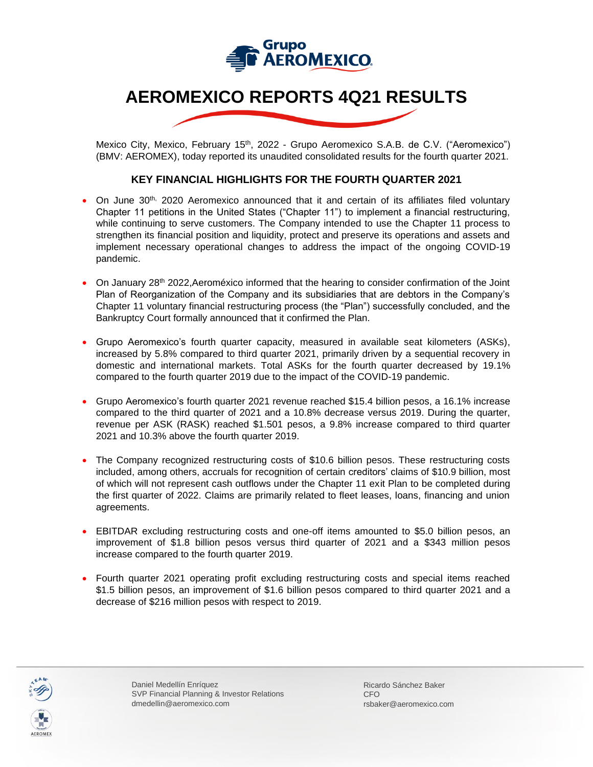

## **AEROMEXICO REPORTS 4Q21 RESULTS**

Mexico City, Mexico, February 15<sup>th</sup>, 2022 - Grupo Aeromexico S.A.B. de C.V. ("Aeromexico") (BMV: AEROMEX), today reported its unaudited consolidated results for the fourth quarter 2021.

#### **KEY FINANCIAL HIGHLIGHTS FOR THE FOURTH QUARTER 2021**

- On June 30<sup>th,</sup> 2020 Aeromexico announced that it and certain of its affiliates filed voluntary Chapter 11 petitions in the United States ("Chapter 11") to implement a financial restructuring, while continuing to serve customers. The Company intended to use the Chapter 11 process to strengthen its financial position and liquidity, protect and preserve its operations and assets and implement necessary operational changes to address the impact of the ongoing COVID-19 pandemic.
- On January 28<sup>th</sup> 2022, Aeroméxico informed that the hearing to consider confirmation of the Joint Plan of Reorganization of the Company and its subsidiaries that are debtors in the Company's Chapter 11 voluntary financial restructuring process (the "Plan") successfully concluded, and the Bankruptcy Court formally announced that it confirmed the Plan.
- Grupo Aeromexico's fourth quarter capacity, measured in available seat kilometers (ASKs), increased by 5.8% compared to third quarter 2021, primarily driven by a sequential recovery in domestic and international markets. Total ASKs for the fourth quarter decreased by 19.1% compared to the fourth quarter 2019 due to the impact of the COVID-19 pandemic.
- Grupo Aeromexico's fourth quarter 2021 revenue reached \$15.4 billion pesos, a 16.1% increase compared to the third quarter of 2021 and a 10.8% decrease versus 2019. During the quarter, revenue per ASK (RASK) reached \$1.501 pesos, a 9.8% increase compared to third quarter 2021 and 10.3% above the fourth quarter 2019.
- The Company recognized restructuring costs of \$10.6 billion pesos. These restructuring costs included, among others, accruals for recognition of certain creditors' claims of \$10.9 billion, most of which will not represent cash outflows under the Chapter 11 exit Plan to be completed during the first quarter of 2022. Claims are primarily related to fleet leases, loans, financing and union agreements.
- EBITDAR excluding restructuring costs and one-off items amounted to \$5.0 billion pesos, an improvement of \$1.8 billion pesos versus third quarter of 2021 and a \$343 million pesos increase compared to the fourth quarter 2019.
- Fourth quarter 2021 operating profit excluding restructuring costs and special items reached \$1.5 billion pesos, an improvement of \$1.6 billion pesos compared to third quarter 2021 and a decrease of \$216 million pesos with respect to 2019.



Daniel Medellín Enríquez SVP Financial Planning & Investor Relations dmedellin@aeromexico.com

Ricardo Sánchez Baker CFO rsbaker@aeromexico.com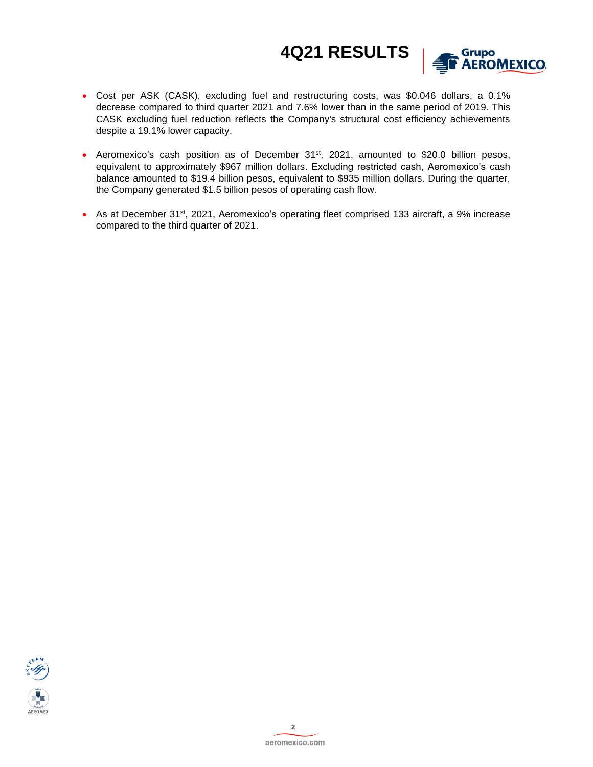

- Cost per ASK (CASK), excluding fuel and restructuring costs, was \$0.046 dollars, a 0.1% decrease compared to third quarter 2021 and 7.6% lower than in the same period of 2019. This CASK excluding fuel reduction reflects the Company's structural cost efficiency achievements despite a 19.1% lower capacity.
- Aeromexico's cash position as of December  $31<sup>st</sup>$ , 2021, amounted to \$20.0 billion pesos, equivalent to approximately \$967 million dollars. Excluding restricted cash, Aeromexico's cash balance amounted to \$19.4 billion pesos, equivalent to \$935 million dollars. During the quarter, the Company generated \$1.5 billion pesos of operating cash flow.
- As at December 31<sup>st</sup>, 2021, Aeromexico's operating fleet comprised 133 aircraft, a 9% increase compared to the third quarter of 2021.

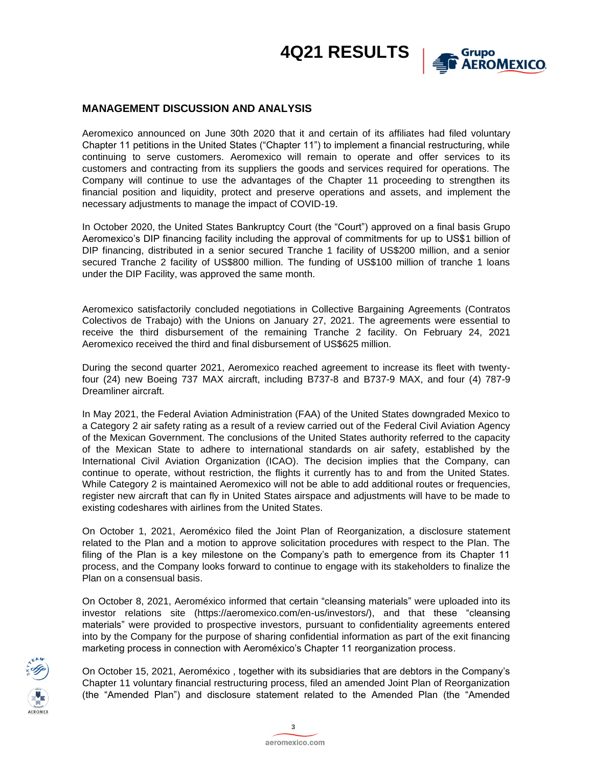

### **MANAGEMENT DISCUSSION AND ANALYSIS**

Aeromexico announced on June 30th 2020 that it and certain of its affiliates had filed voluntary Chapter 11 petitions in the United States ("Chapter 11") to implement a financial restructuring, while continuing to serve customers. Aeromexico will remain to operate and offer services to its customers and contracting from its suppliers the goods and services required for operations. The Company will continue to use the advantages of the Chapter 11 proceeding to strengthen its financial position and liquidity, protect and preserve operations and assets, and implement the necessary adjustments to manage the impact of COVID-19.

In October 2020, the United States Bankruptcy Court (the "Court") approved on a final basis Grupo Aeromexico's DIP financing facility including the approval of commitments for up to US\$1 billion of DIP financing, distributed in a senior secured Tranche 1 facility of US\$200 million, and a senior secured Tranche 2 facility of US\$800 million. The funding of US\$100 million of tranche 1 loans under the DIP Facility, was approved the same month.

Aeromexico satisfactorily concluded negotiations in Collective Bargaining Agreements (Contratos Colectivos de Trabajo) with the Unions on January 27, 2021. The agreements were essential to receive the third disbursement of the remaining Tranche 2 facility. On February 24, 2021 Aeromexico received the third and final disbursement of US\$625 million.

During the second quarter 2021, Aeromexico reached agreement to increase its fleet with twentyfour (24) new Boeing 737 MAX aircraft, including B737-8 and B737-9 MAX, and four (4) 787-9 Dreamliner aircraft.

In May 2021, the Federal Aviation Administration (FAA) of the United States downgraded Mexico to a Category 2 air safety rating as a result of a review carried out of the Federal Civil Aviation Agency of the Mexican Government. The conclusions of the United States authority referred to the capacity of the Mexican State to adhere to international standards on air safety, established by the International Civil Aviation Organization (ICAO). The decision implies that the Company, can continue to operate, without restriction, the flights it currently has to and from the United States. While Category 2 is maintained Aeromexico will not be able to add additional routes or frequencies, register new aircraft that can fly in United States airspace and adjustments will have to be made to existing codeshares with airlines from the United States.

On October 1, 2021, Aeroméxico filed the Joint Plan of Reorganization, a disclosure statement related to the Plan and a motion to approve solicitation procedures with respect to the Plan. The filing of the Plan is a key milestone on the Company's path to emergence from its Chapter 11 process, and the Company looks forward to continue to engage with its stakeholders to finalize the Plan on a consensual basis.

On October 8, 2021, Aeroméxico informed that certain "cleansing materials" were uploaded into its investor relations site (https://aeromexico.com/en-us/investors/), and that these "cleansing materials" were provided to prospective investors, pursuant to confidentiality agreements entered into by the Company for the purpose of sharing confidential information as part of the exit financing marketing process in connection with Aeroméxico's Chapter 11 reorganization process.



On October 15, 2021, Aeroméxico , together with its subsidiaries that are debtors in the Company's Chapter 11 voluntary financial restructuring process, filed an amended Joint Plan of Reorganization (the "Amended Plan") and disclosure statement related to the Amended Plan (the "Amended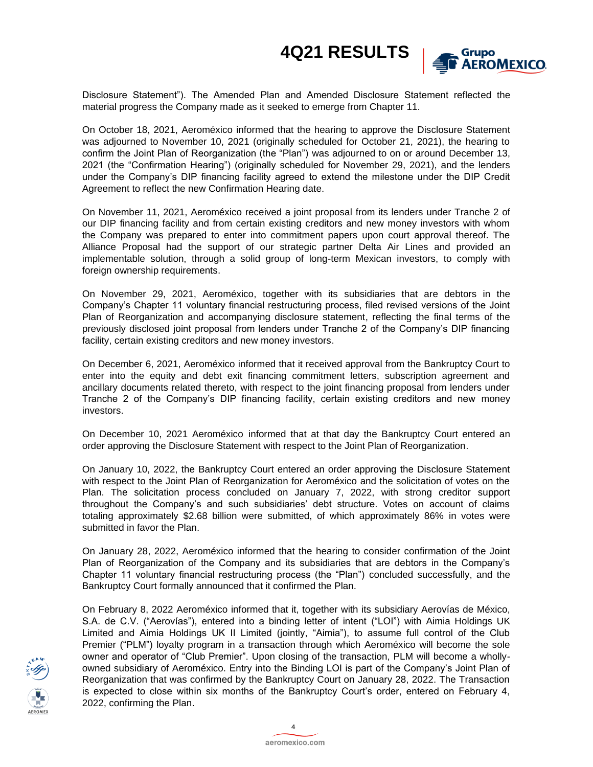

Disclosure Statement"). The Amended Plan and Amended Disclosure Statement reflected the material progress the Company made as it seeked to emerge from Chapter 11.

On October 18, 2021, Aeroméxico informed that the hearing to approve the Disclosure Statement was adjourned to November 10, 2021 (originally scheduled for October 21, 2021), the hearing to confirm the Joint Plan of Reorganization (the "Plan") was adjourned to on or around December 13, 2021 (the "Confirmation Hearing") (originally scheduled for November 29, 2021), and the lenders under the Company's DIP financing facility agreed to extend the milestone under the DIP Credit Agreement to reflect the new Confirmation Hearing date.

On November 11, 2021, Aeroméxico received a joint proposal from its lenders under Tranche 2 of our DIP financing facility and from certain existing creditors and new money investors with whom the Company was prepared to enter into commitment papers upon court approval thereof. The Alliance Proposal had the support of our strategic partner Delta Air Lines and provided an implementable solution, through a solid group of long-term Mexican investors, to comply with foreign ownership requirements.

On November 29, 2021, Aeroméxico, together with its subsidiaries that are debtors in the Company's Chapter 11 voluntary financial restructuring process, filed revised versions of the Joint Plan of Reorganization and accompanying disclosure statement, reflecting the final terms of the previously disclosed joint proposal from lenders under Tranche 2 of the Company's DIP financing facility, certain existing creditors and new money investors.

On December 6, 2021, Aeroméxico informed that it received approval from the Bankruptcy Court to enter into the equity and debt exit financing commitment letters, subscription agreement and ancillary documents related thereto, with respect to the joint financing proposal from lenders under Tranche 2 of the Company's DIP financing facility, certain existing creditors and new money investors.

On December 10, 2021 Aeroméxico informed that at that day the Bankruptcy Court entered an order approving the Disclosure Statement with respect to the Joint Plan of Reorganization.

On January 10, 2022, the Bankruptcy Court entered an order approving the Disclosure Statement with respect to the Joint Plan of Reorganization for Aeroméxico and the solicitation of votes on the Plan. The solicitation process concluded on January 7, 2022, with strong creditor support throughout the Company's and such subsidiaries' debt structure. Votes on account of claims totaling approximately \$2.68 billion were submitted, of which approximately 86% in votes were submitted in favor the Plan.

On January 28, 2022, Aeroméxico informed that the hearing to consider confirmation of the Joint Plan of Reorganization of the Company and its subsidiaries that are debtors in the Company's Chapter 11 voluntary financial restructuring process (the "Plan") concluded successfully, and the Bankruptcy Court formally announced that it confirmed the Plan.

On February 8, 2022 Aeroméxico informed that it, together with its subsidiary Aerovías de México, S.A. de C.V. ("Aerovías"), entered into a binding letter of intent ("LOI") with Aimia Holdings UK Limited and Aimia Holdings UK II Limited (jointly, "Aimia"), to assume full control of the Club Premier ("PLM") loyalty program in a transaction through which Aeroméxico will become the sole owner and operator of "Club Premier". Upon closing of the transaction, PLM will become a whollyowned subsidiary of Aeroméxico. Entry into the Binding LOI is part of the Company's Joint Plan of Reorganization that was confirmed by the Bankruptcy Court on January 28, 2022. The Transaction is expected to close within six months of the Bankruptcy Court's order, entered on February 4, 2022, confirming the Plan.



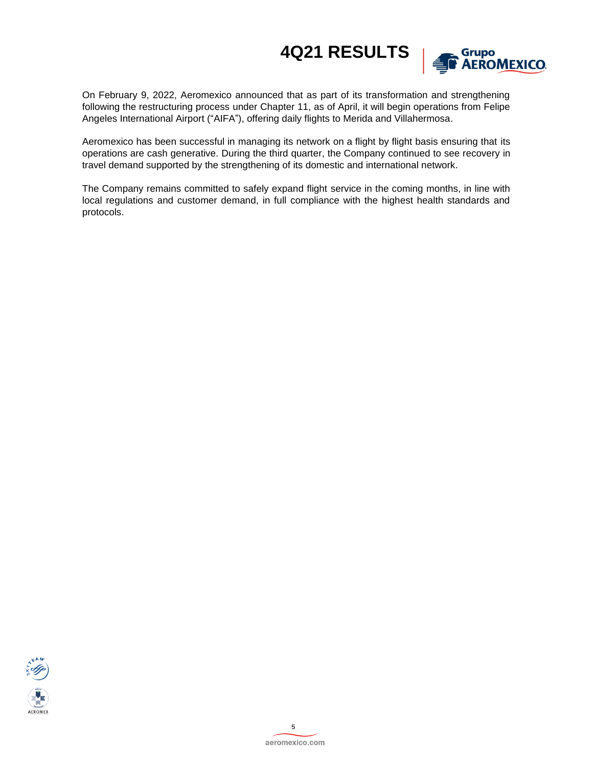

On February 9, 2022, Aeromexico announced that as part of its transformation and strengthening following the restructuring process under Chapter 11, as of April, it will begin operations from Felipe Angeles International Airport ("AIFA"), offering daily flights to Merida and Villahermosa.

Aeromexico has been successful in managing its network on a flight by flight basis ensuring that its operations are cash generative. During the third quarter, the Company continued to see recovery in travel demand supported by the strengthening of its domestic and international network.

The Company remains committed to safely expand flight service in the coming months, in line with local regulations and customer demand, in full compliance with the highest health standards and protocols.

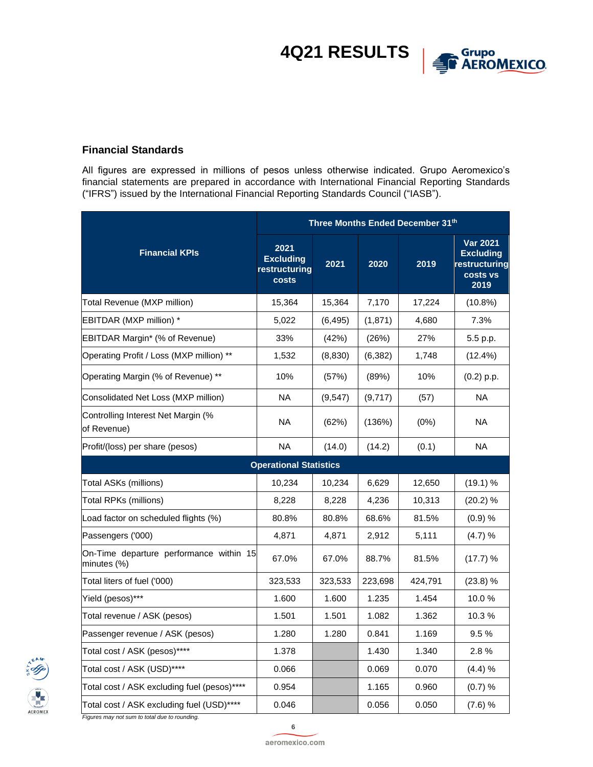

### **Financial Standards**

All figures are expressed in millions of pesos unless otherwise indicated. Grupo Aeromexico's financial statements are prepared in accordance with International Financial Reporting Standards ("IFRS") issued by the International Financial Reporting Standards Council ("IASB").

| Three Months Ended December 31th                       |                                                    |          |          |         |                                                                          |  |  |
|--------------------------------------------------------|----------------------------------------------------|----------|----------|---------|--------------------------------------------------------------------------|--|--|
| <b>Financial KPIs</b>                                  | 2021<br><b>Excluding</b><br>restructuring<br>costs | 2021     | 2020     | 2019    | <b>Var 2021</b><br><b>Excluding</b><br>restructuring<br>costs vs<br>2019 |  |  |
| Total Revenue (MXP million)                            | 15,364                                             | 15,364   | 7,170    | 17,224  | $(10.8\%)$                                                               |  |  |
| EBITDAR (MXP million) *                                | 5,022                                              | (6, 495) | (1,871)  | 4,680   | 7.3%                                                                     |  |  |
| EBITDAR Margin* (% of Revenue)                         | 33%                                                | (42%)    | (26%)    | 27%     | 5.5 p.p.                                                                 |  |  |
| Operating Profit / Loss (MXP million) **               | 1,532                                              | (8,830)  | (6, 382) | 1,748   | (12.4%)                                                                  |  |  |
| Operating Margin (% of Revenue) **                     | 10%                                                | (57%)    | (89%)    | 10%     | $(0.2)$ p.p.                                                             |  |  |
| Consolidated Net Loss (MXP million)                    | <b>NA</b>                                          | (9, 547) | (9,717)  | (57)    | <b>NA</b>                                                                |  |  |
| Controlling Interest Net Margin (%<br>of Revenue)      | <b>NA</b>                                          | (62%)    | (136%)   | (0%)    | <b>NA</b>                                                                |  |  |
| Profit/(loss) per share (pesos)                        | <b>NA</b>                                          | (14.0)   | (14.2)   | (0.1)   | <b>NA</b>                                                                |  |  |
|                                                        | <b>Operational Statistics</b>                      |          |          |         |                                                                          |  |  |
| Total ASKs (millions)                                  | 10,234                                             | 10,234   | 6,629    | 12,650  | (19.1) %                                                                 |  |  |
| Total RPKs (millions)                                  | 8,228                                              | 8,228    | 4,236    | 10,313  | (20.2) %                                                                 |  |  |
| Load factor on scheduled flights (%)                   | 80.8%                                              | 80.8%    | 68.6%    | 81.5%   | (0.9) %                                                                  |  |  |
| Passengers ('000)                                      | 4,871                                              | 4,871    | 2,912    | 5,111   | (4.7) %                                                                  |  |  |
| On-Time departure performance within 15<br>minutes (%) | 67.0%                                              | 67.0%    | 88.7%    | 81.5%   | (17.7) %                                                                 |  |  |
| Total liters of fuel ('000)                            | 323,533                                            | 323,533  | 223,698  | 424,791 | (23.8) %                                                                 |  |  |
| Yield (pesos)***                                       | 1.600                                              | 1.600    | 1.235    | 1.454   | 10.0%                                                                    |  |  |
| Total revenue / ASK (pesos)                            | 1.501                                              | 1.501    | 1.082    | 1.362   | 10.3%                                                                    |  |  |
| Passenger revenue / ASK (pesos)                        | 1.280                                              | 1.280    | 0.841    | 1.169   | 9.5%                                                                     |  |  |
| Total cost / ASK (pesos)*****                          | 1.378                                              |          | 1.430    | 1.340   | 2.8%                                                                     |  |  |
| Total cost / ASK (USD)****                             | 0.066                                              |          | 0.069    | 0.070   | (4.4) %                                                                  |  |  |
| Total cost / ASK excluding fuel (pesos)****            | 0.954                                              |          | 1.165    | 0.960   | (0.7) %                                                                  |  |  |
| Total cost / ASK excluding fuel (USD)****              | 0.046                                              |          | 0.056    | 0.050   | (7.6) %                                                                  |  |  |



*Figures may not sum to total due to rounding.*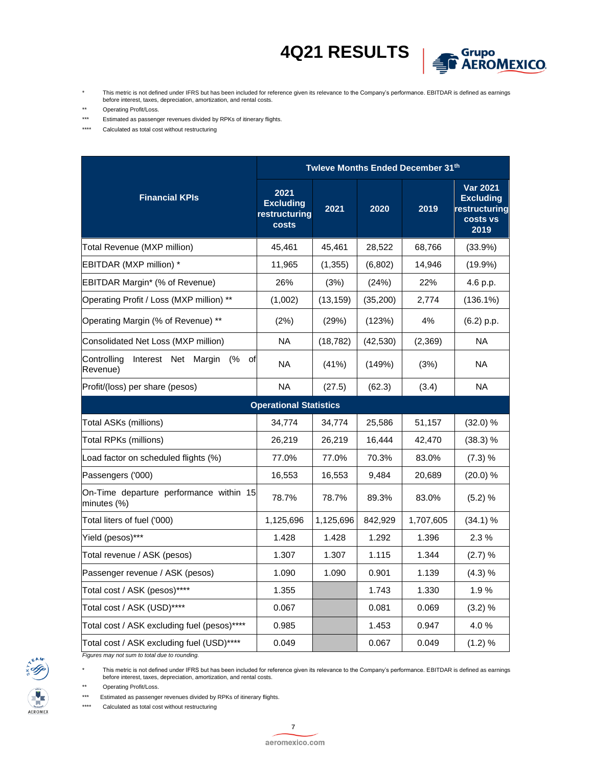

- \* This metric is not defined under IFRS but has been included for reference given its relevance to the Company's performance. EBITDAR is defined as earnings before interest, taxes, depreciation, amortization, and rental costs.
- \*\* Operating Profit/Loss.
- \*\*\* Estimated as passenger revenues divided by RPKs of itinerary flights.
- \*\*\*\* Calculated as total cost without restructuring

|                                                            | Twleve Months Ended December 31th                  |           |           |           |                                                                          |  |  |  |  |
|------------------------------------------------------------|----------------------------------------------------|-----------|-----------|-----------|--------------------------------------------------------------------------|--|--|--|--|
| <b>Financial KPIs</b>                                      | 2021<br><b>Excluding</b><br>restructuring<br>costs | 2021      | 2020      | 2019      | <b>Var 2021</b><br><b>Excluding</b><br>restructuring<br>costs vs<br>2019 |  |  |  |  |
| Total Revenue (MXP million)                                | 45,461                                             | 45,461    | 28,522    | 68,766    | (33.9%)                                                                  |  |  |  |  |
| EBITDAR (MXP million) *                                    | 11,965                                             | (1, 355)  | (6,802)   | 14,946    | $(19.9\%)$                                                               |  |  |  |  |
| EBITDAR Margin* (% of Revenue)                             | 26%                                                | (3%)      | (24%)     | 22%       | 4.6 p.p.                                                                 |  |  |  |  |
| Operating Profit / Loss (MXP million) **                   | (1,002)                                            | (13, 159) | (35, 200) | 2,774     | $(136.1\%)$                                                              |  |  |  |  |
| Operating Margin (% of Revenue) **                         | (2%)                                               | (29%)     | (123%)    | 4%        | $(6.2)$ p.p.                                                             |  |  |  |  |
| Consolidated Net Loss (MXP million)                        | <b>NA</b>                                          | (18, 782) | (42, 530) | (2, 369)  | <b>NA</b>                                                                |  |  |  |  |
| Interest Net Margin<br>Controlling<br>(%<br>οf<br>Revenue) | <b>NA</b>                                          | (41%)     | (149%)    | (3%)      | <b>NA</b>                                                                |  |  |  |  |
| Profit/(loss) per share (pesos)                            | <b>NA</b>                                          | (27.5)    | (62.3)    | (3.4)     | <b>NA</b>                                                                |  |  |  |  |
|                                                            | <b>Operational Statistics</b>                      |           |           |           |                                                                          |  |  |  |  |
| Total ASKs (millions)                                      | 34,774                                             | 34,774    | 25,586    | 51,157    | (32.0) %                                                                 |  |  |  |  |
| Total RPKs (millions)                                      | 26,219                                             | 26,219    | 16,444    | 42,470    | (38.3) %                                                                 |  |  |  |  |
| Load factor on scheduled flights (%)                       | 77.0%                                              | 77.0%     | 70.3%     | 83.0%     | (7.3) %                                                                  |  |  |  |  |
| Passengers ('000)                                          | 16,553                                             | 16,553    | 9,484     | 20,689    | (20.0) %                                                                 |  |  |  |  |
| On-Time departure performance within 15<br>minutes (%)     | 78.7%                                              | 78.7%     | 89.3%     | 83.0%     | (5.2) %                                                                  |  |  |  |  |
| Total liters of fuel ('000)                                | 1,125,696                                          | 1,125,696 | 842,929   | 1,707,605 | (34.1) %                                                                 |  |  |  |  |
| Yield (pesos)***                                           | 1.428                                              | 1.428     | 1.292     | 1.396     | 2.3%                                                                     |  |  |  |  |
| Total revenue / ASK (pesos)                                | 1.307                                              | 1.307     | 1.115     | 1.344     | (2.7) %                                                                  |  |  |  |  |
| Passenger revenue / ASK (pesos)                            | 1.090                                              | 1.090     | 0.901     | 1.139     | (4.3) %                                                                  |  |  |  |  |
| Total cost / ASK (pesos)*****                              | 1.355                                              |           | 1.743     | 1.330     | 1.9%                                                                     |  |  |  |  |
| Total cost / ASK (USD)****                                 | 0.067                                              |           | 0.081     | 0.069     | (3.2) %                                                                  |  |  |  |  |
| Total cost / ASK excluding fuel (pesos)****                | 0.985                                              |           | 1.453     | 0.947     | 4.0%                                                                     |  |  |  |  |
| Total cost / ASK excluding fuel (USD)****                  | 0.049                                              |           | 0.067     | 0.049     | (1.2) %                                                                  |  |  |  |  |

*Figures may not sum to total due to rounding.*

\* This metric is not defined under IFRS but has been included for reference given its relevance to the Company's performance. EBITDAR is defined as earnings before interest, taxes, depreciation, amortization, and rental costs.

\*\* Operating Profit/Loss.

\*\*\* Estimated as passenger revenues divided by RPKs of itinerary flights.

\*\*\*\* Calculated as total cost without restructuring

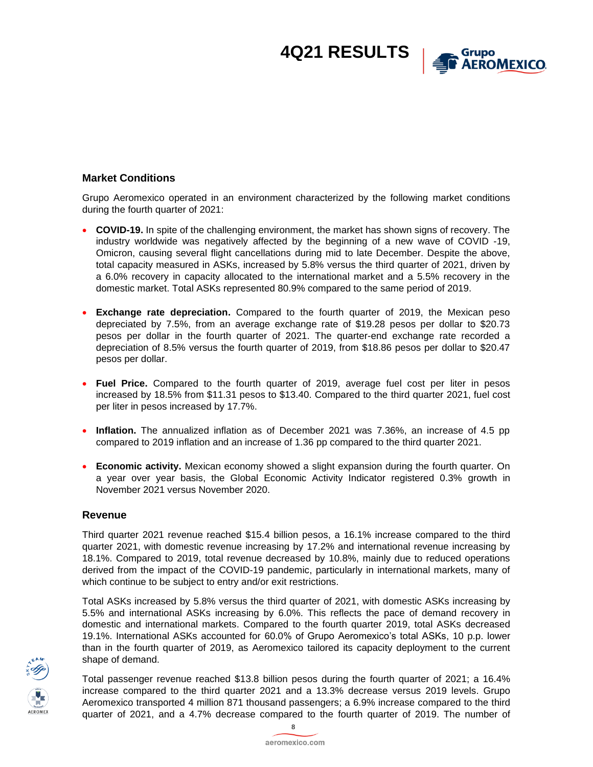

### **Market Conditions**

Grupo Aeromexico operated in an environment characterized by the following market conditions during the fourth quarter of 2021:

- **COVID-19.** In spite of the challenging environment, the market has shown signs of recovery. The industry worldwide was negatively affected by the beginning of a new wave of COVID -19, Omicron, causing several flight cancellations during mid to late December. Despite the above, total capacity measured in ASKs, increased by 5.8% versus the third quarter of 2021, driven by a 6.0% recovery in capacity allocated to the international market and a 5.5% recovery in the domestic market. Total ASKs represented 80.9% compared to the same period of 2019.
- **Exchange rate depreciation.** Compared to the fourth quarter of 2019, the Mexican peso depreciated by 7.5%, from an average exchange rate of \$19.28 pesos per dollar to \$20.73 pesos per dollar in the fourth quarter of 2021. The quarter-end exchange rate recorded a depreciation of 8.5% versus the fourth quarter of 2019, from \$18.86 pesos per dollar to \$20.47 pesos per dollar.
- **Fuel Price.** Compared to the fourth quarter of 2019, average fuel cost per liter in pesos increased by 18.5% from \$11.31 pesos to \$13.40. Compared to the third quarter 2021, fuel cost per liter in pesos increased by 17.7%.
- **Inflation.** The annualized inflation as of December 2021 was 7.36%, an increase of 4.5 pp compared to 2019 inflation and an increase of 1.36 pp compared to the third quarter 2021.
- **Economic activity.** Mexican economy showed a slight expansion during the fourth quarter. On a year over year basis, the Global Economic Activity Indicator registered 0.3% growth in November 2021 versus November 2020.

#### **Revenue**

Third quarter 2021 revenue reached \$15.4 billion pesos, a 16.1% increase compared to the third quarter 2021, with domestic revenue increasing by 17.2% and international revenue increasing by 18.1%. Compared to 2019, total revenue decreased by 10.8%, mainly due to reduced operations derived from the impact of the COVID-19 pandemic, particularly in international markets, many of which continue to be subject to entry and/or exit restrictions.

Total ASKs increased by 5.8% versus the third quarter of 2021, with domestic ASKs increasing by 5.5% and international ASKs increasing by 6.0%. This reflects the pace of demand recovery in domestic and international markets. Compared to the fourth quarter 2019, total ASKs decreased 19.1%. International ASKs accounted for 60.0% of Grupo Aeromexico's total ASKs, 10 p.p. lower than in the fourth quarter of 2019, as Aeromexico tailored its capacity deployment to the current shape of demand.

Total passenger revenue reached \$13.8 billion pesos during the fourth quarter of 2021; a 16.4% increase compared to the third quarter 2021 and a 13.3% decrease versus 2019 levels. Grupo Aeromexico transported 4 million 871 thousand passengers; a 6.9% increase compared to the third quarter of 2021, and a 4.7% decrease compared to the fourth quarter of 2019. The number of



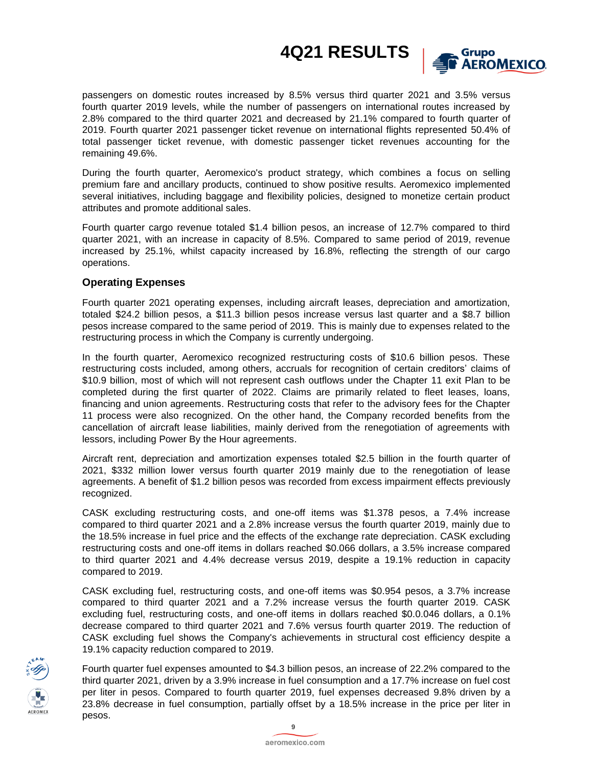

passengers on domestic routes increased by 8.5% versus third quarter 2021 and 3.5% versus fourth quarter 2019 levels, while the number of passengers on international routes increased by 2.8% compared to the third quarter 2021 and decreased by 21.1% compared to fourth quarter of 2019. Fourth quarter 2021 passenger ticket revenue on international flights represented 50.4% of total passenger ticket revenue, with domestic passenger ticket revenues accounting for the remaining 49.6%.

During the fourth quarter, Aeromexico's product strategy, which combines a focus on selling premium fare and ancillary products, continued to show positive results. Aeromexico implemented several initiatives, including baggage and flexibility policies, designed to monetize certain product attributes and promote additional sales.

Fourth quarter cargo revenue totaled \$1.4 billion pesos, an increase of 12.7% compared to third quarter 2021, with an increase in capacity of 8.5%. Compared to same period of 2019, revenue increased by 25.1%, whilst capacity increased by 16.8%, reflecting the strength of our cargo operations.

#### **Operating Expenses**

Fourth quarter 2021 operating expenses, including aircraft leases, depreciation and amortization, totaled \$24.2 billion pesos, a \$11.3 billion pesos increase versus last quarter and a \$8.7 billion pesos increase compared to the same period of 2019. This is mainly due to expenses related to the restructuring process in which the Company is currently undergoing.

In the fourth quarter, Aeromexico recognized restructuring costs of \$10.6 billion pesos. These restructuring costs included, among others, accruals for recognition of certain creditors' claims of \$10.9 billion, most of which will not represent cash outflows under the Chapter 11 exit Plan to be completed during the first quarter of 2022. Claims are primarily related to fleet leases, loans, financing and union agreements. Restructuring costs that refer to the advisory fees for the Chapter 11 process were also recognized. On the other hand, the Company recorded benefits from the cancellation of aircraft lease liabilities, mainly derived from the renegotiation of agreements with lessors, including Power By the Hour agreements.

Aircraft rent, depreciation and amortization expenses totaled \$2.5 billion in the fourth quarter of 2021, \$332 million lower versus fourth quarter 2019 mainly due to the renegotiation of lease agreements. A benefit of \$1.2 billion pesos was recorded from excess impairment effects previously recognized.

CASK excluding restructuring costs, and one-off items was \$1.378 pesos, a 7.4% increase compared to third quarter 2021 and a 2.8% increase versus the fourth quarter 2019, mainly due to the 18.5% increase in fuel price and the effects of the exchange rate depreciation. CASK excluding restructuring costs and one-off items in dollars reached \$0.066 dollars, a 3.5% increase compared to third quarter 2021 and 4.4% decrease versus 2019, despite a 19.1% reduction in capacity compared to 2019.

CASK excluding fuel, restructuring costs, and one-off items was \$0.954 pesos, a 3.7% increase compared to third quarter 2021 and a 7.2% increase versus the fourth quarter 2019. CASK excluding fuel, restructuring costs, and one-off items in dollars reached \$0.0.046 dollars, a 0.1% decrease compared to third quarter 2021 and 7.6% versus fourth quarter 2019. The reduction of CASK excluding fuel shows the Company's achievements in structural cost efficiency despite a 19.1% capacity reduction compared to 2019.



Fourth quarter fuel expenses amounted to \$4.3 billion pesos, an increase of 22.2% compared to the third quarter 2021, driven by a 3.9% increase in fuel consumption and a 17.7% increase on fuel cost per liter in pesos. Compared to fourth quarter 2019, fuel expenses decreased 9.8% driven by a 23.8% decrease in fuel consumption, partially offset by a 18.5% increase in the price per liter in pesos.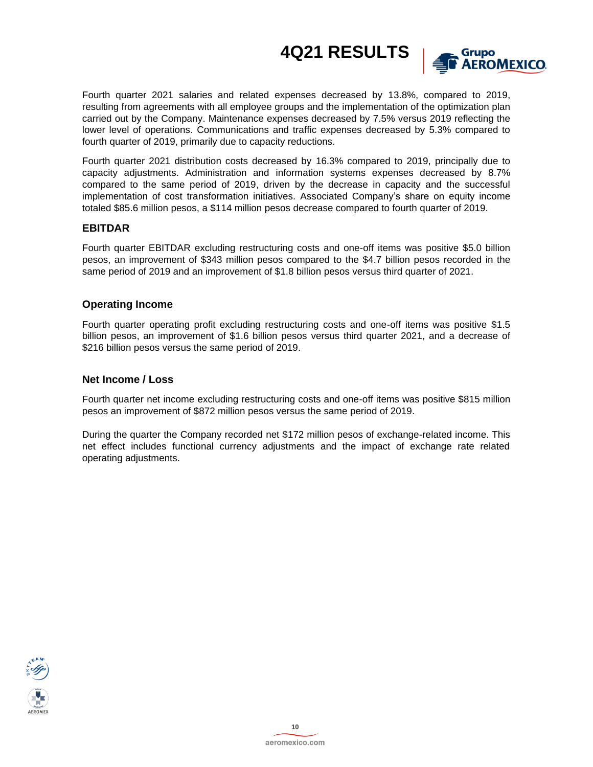

Fourth quarter 2021 salaries and related expenses decreased by 13.8%, compared to 2019, resulting from agreements with all employee groups and the implementation of the optimization plan carried out by the Company. Maintenance expenses decreased by 7.5% versus 2019 reflecting the lower level of operations. Communications and traffic expenses decreased by 5.3% compared to fourth quarter of 2019, primarily due to capacity reductions.

Fourth quarter 2021 distribution costs decreased by 16.3% compared to 2019, principally due to capacity adjustments. Administration and information systems expenses decreased by 8.7% compared to the same period of 2019, driven by the decrease in capacity and the successful implementation of cost transformation initiatives. Associated Company's share on equity income totaled \$85.6 million pesos, a \$114 million pesos decrease compared to fourth quarter of 2019.

#### **EBITDAR**

Fourth quarter EBITDAR excluding restructuring costs and one-off items was positive \$5.0 billion pesos, an improvement of \$343 million pesos compared to the \$4.7 billion pesos recorded in the same period of 2019 and an improvement of \$1.8 billion pesos versus third quarter of 2021.

#### **Operating Income**

Fourth quarter operating profit excluding restructuring costs and one-off items was positive \$1.5 billion pesos, an improvement of \$1.6 billion pesos versus third quarter 2021, and a decrease of \$216 billion pesos versus the same period of 2019.

#### **Net Income / Loss**

Fourth quarter net income excluding restructuring costs and one-off items was positive \$815 million pesos an improvement of \$872 million pesos versus the same period of 2019.

During the quarter the Company recorded net \$172 million pesos of exchange-related income. This net effect includes functional currency adjustments and the impact of exchange rate related operating adjustments.

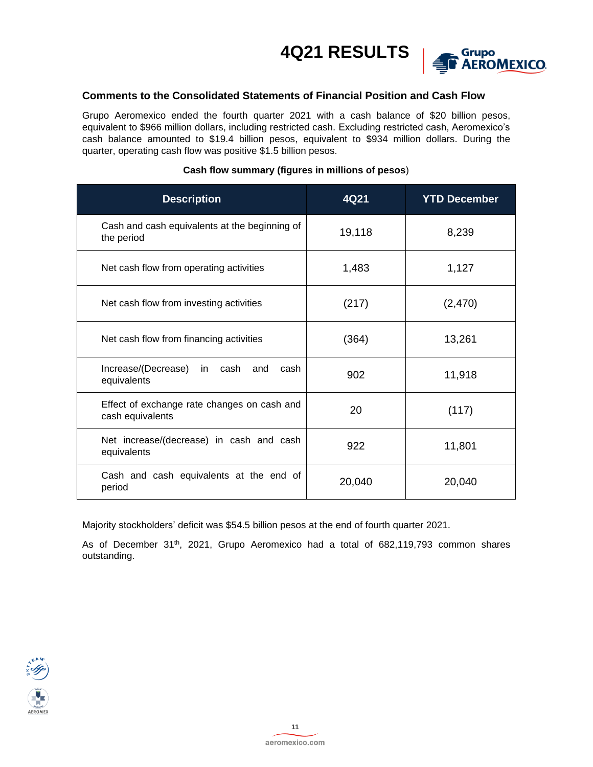

### **Comments to the Consolidated Statements of Financial Position and Cash Flow**

Grupo Aeromexico ended the fourth quarter 2021 with a cash balance of \$20 billion pesos, equivalent to \$966 million dollars, including restricted cash. Excluding restricted cash, Aeromexico's cash balance amounted to \$19.4 billion pesos, equivalent to \$934 million dollars. During the quarter, operating cash flow was positive \$1.5 billion pesos.

| <b>Description</b>                                              | 4Q21   | <b>YTD December</b> |
|-----------------------------------------------------------------|--------|---------------------|
| Cash and cash equivalents at the beginning of<br>the period     | 19,118 | 8,239               |
| Net cash flow from operating activities                         | 1,483  | 1,127               |
| Net cash flow from investing activities                         | (217)  | (2,470)             |
| Net cash flow from financing activities                         | (364)  | 13,261              |
| Increase/(Decrease) in cash<br>and<br>cash<br>equivalents       | 902    | 11,918              |
| Effect of exchange rate changes on cash and<br>cash equivalents | 20     | (117)               |
| Net increase/(decrease) in cash and cash<br>equivalents         | 922    | 11,801              |
| Cash and cash equivalents at the end of<br>period               | 20,040 | 20,040              |

### **Cash flow summary (figures in millions of pesos**)

Majority stockholders' deficit was \$54.5 billion pesos at the end of fourth quarter 2021.

As of December 31<sup>th</sup>, 2021, Grupo Aeromexico had a total of 682,119,793 common shares outstanding.

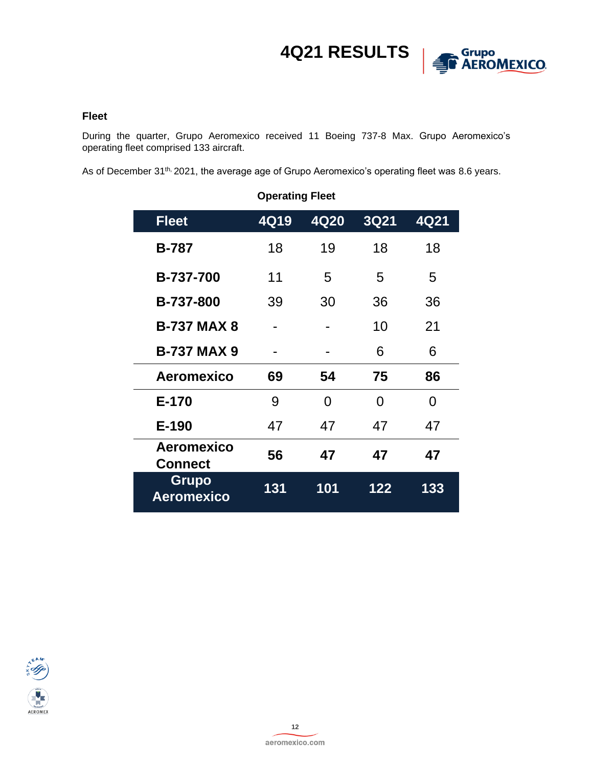

#### **Fleet**

During the quarter, Grupo Aeromexico received 11 Boeing 737-8 Max. Grupo Aeromexico's operating fleet comprised 133 aircraft.

As of December 31<sup>th,</sup> 2021, the average age of Grupo Aeromexico's operating fleet was 8.6 years.

| <b>Operating Fleet</b>              |      |      |             |      |  |  |  |
|-------------------------------------|------|------|-------------|------|--|--|--|
| <b>Fleet</b>                        | 4Q19 | 4Q20 | <b>3Q21</b> | 4Q21 |  |  |  |
| <b>B-787</b>                        | 18   | 19   | 18          | 18   |  |  |  |
| B-737-700                           | 11   | 5    | 5           | 5    |  |  |  |
| B-737-800                           | 39   | 30   | 36          | 36   |  |  |  |
| <b>B-737 MAX 8</b>                  |      |      | 10          | 21   |  |  |  |
| <b>B-737 MAX 9</b>                  |      |      | 6           | 6    |  |  |  |
| Aeromexico                          | 69   | 54   | 75          | 86   |  |  |  |
| E-170                               | 9    | O    | 0           | 0    |  |  |  |
| E-190                               | 47   | 47   | 47          | 47   |  |  |  |
| <b>Aeromexico</b><br><b>Connect</b> | 56   | 47   | 47          | 47   |  |  |  |
| <b>Grupo</b><br><b>Aeromexico</b>   | 131  | 101  | 122         | 133  |  |  |  |

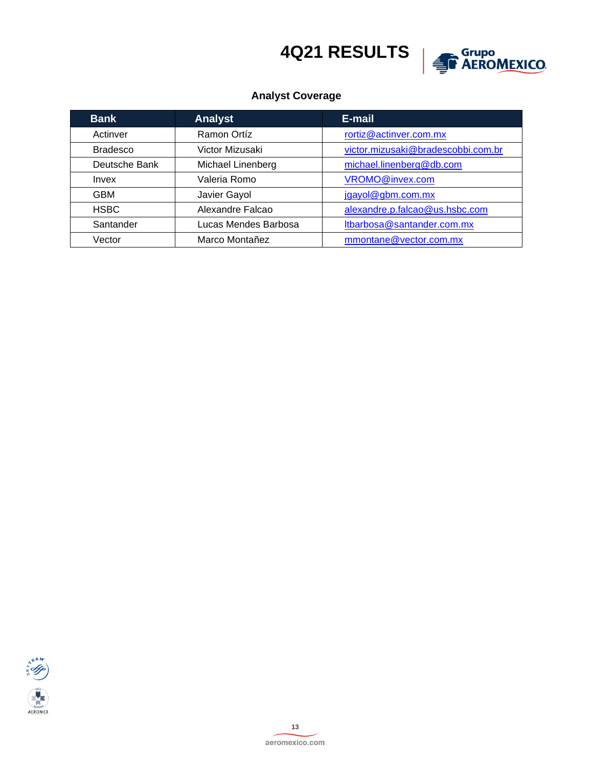

### **Analyst Coverage**

| <b>Bank</b>     | <b>Analyst</b>       | E-mail                             |
|-----------------|----------------------|------------------------------------|
| Actinver        | Ramon Ortíz          | rortiz@actinver.com.mx             |
| <b>Bradesco</b> | Victor Mizusaki      | victor.mizusaki@bradescobbi.com.br |
| Deutsche Bank   | Michael Linenberg    | michael.linenberg@db.com           |
| Invex           | Valeria Romo         | VROMO@invex.com                    |
| <b>GBM</b>      | Javier Gayol         | jgayol@gbm.com.mx                  |
| <b>HSBC</b>     | Alexandre Falcao     | alexandre.p.falcao@us.hsbc.com     |
| Santander       | Lucas Mendes Barbosa | Itbarbosa@santander.com.mx         |
| Vector          | Marco Montañez       | mmontane@vector.com.mx             |

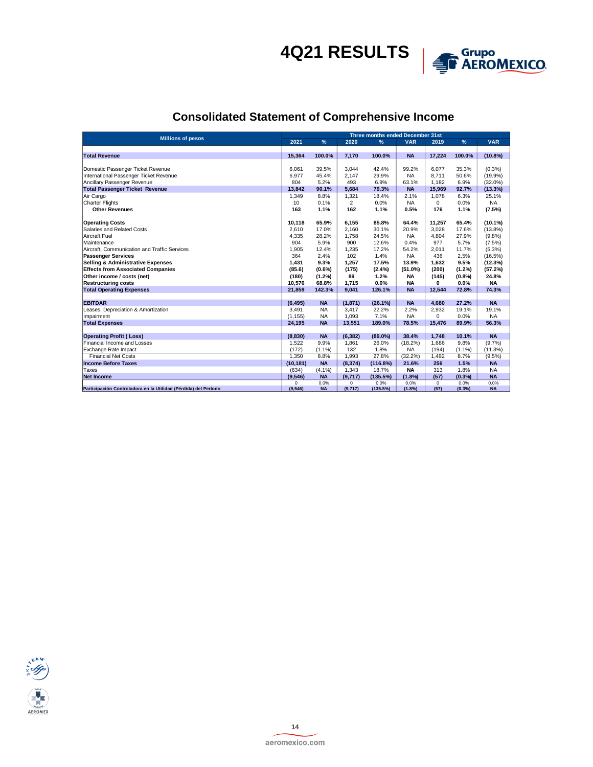

## **Consolidated Statement of Comprehensive Income**

| <b>Millions of pesos</b>                                        |                  | Three months ended December 31st |                |            |            |              |           |            |
|-----------------------------------------------------------------|------------------|----------------------------------|----------------|------------|------------|--------------|-----------|------------|
|                                                                 | 2021             | %                                | 2020           | %          | <b>VAR</b> | 2019         | %         | <b>VAR</b> |
|                                                                 |                  |                                  |                |            |            |              |           |            |
| <b>Total Revenue</b>                                            | 15,364           | 100.0%                           | 7,170          | 100.0%     | <b>NA</b>  | 17,224       | 100.0%    | $(10.8\%)$ |
|                                                                 |                  |                                  |                |            |            |              |           |            |
| Domestic Passenger Ticket Revenue                               | 6.061            | 39.5%                            | 3,044          | 42.4%      | 99.2%      | 6,077        | 35.3%     | $(0.3\%)$  |
| International Passenger Ticket Revenue                          | 6.977            | 45.4%                            | 2.147          | 29.9%      | <b>NA</b>  | 8.711        | 50.6%     | (19.9%     |
| Ancillary Passenger Revenue                                     | 804              | 5.2%                             | 493            | 6.9%       | 63.1%      | 1.182        | 6.9%      | $(32.0\%)$ |
| <b>Total Passenger Ticket Revenue</b>                           | 13,842           | 90.1%                            | 5,684          | 79.3%      | <b>NA</b>  | 15,969       | 92.7%     | (13.3%)    |
| Air Cargo                                                       | 1,349            | 8.8%                             | 1,321          | 18.4%      | 2.1%       | 1,078        | 6.3%      | 25.1%      |
| <b>Charter Flights</b>                                          | 10 <sup>10</sup> | 0.1%                             | $\overline{2}$ | 0.0%       | <b>NA</b>  | $\Omega$     | 0.0%      | <b>NA</b>  |
| <b>Other Revenues</b>                                           | 163              | 1.1%                             | 162            | 1.1%       | 0.5%       | 176          | 1.1%      | (7.5%)     |
| <b>Operating Costs</b>                                          | 10,118           | 65.9%                            | 6,155          | 85.8%      | 64.4%      | 11,257       | 65.4%     | $(10.1\%)$ |
| Salaries and Related Costs                                      | 2.610            | 17.0%                            | 2.160          | 30.1%      | 20.9%      | 3,028        | 17.6%     | $(13.8\%)$ |
| <b>Aircraft Fuel</b>                                            | 4,335            | 28.2%                            | 1,758          | 24.5%      | <b>NA</b>  | 4,804        | 27.9%     | (9.8%      |
| Maintenance                                                     | 904              | 5.9%                             | 900            | 12.6%      | 0.4%       | 977          | 5.7%      | (7.5%)     |
| Aircraft. Communication and Traffic Services                    | 1.905            | 12.4%                            | 1.235          | 17.2%      | 54.2%      | 2.011        | 11.7%     | $(5.3\%)$  |
| <b>Passenger Services</b>                                       | 364              | 2.4%                             | 102            | 1.4%       | <b>NA</b>  | 436          | 2.5%      | (16.5%)    |
| <b>Selling &amp; Administrative Expenses</b>                    | 1,431            | 9.3%                             | 1,257          | 17.5%      | 13.9%      | 1,632        | 9.5%      | (12.3%)    |
| <b>Effects from Associated Companies</b>                        | (85.6)           | $(0.6\%)$                        | (175)          | (2.4%)     | (51.0%)    | (200)        | $(1.2\%)$ | (57.2%)    |
| Other income / costs (net)                                      | (180)            | (1.2%)                           | 89             | 1.2%       | <b>NA</b>  | (145)        | (0.8%     | 24.8%      |
| <b>Restructuring costs</b>                                      | 10.576           | 68.8%                            | 1.715          | 0.0%       | <b>NA</b>  | $\mathbf{0}$ | 0.0%      | <b>NA</b>  |
| <b>Total Operating Expenses</b>                                 | 21,859           | 142.3%                           | 9.041          | 126.1%     | <b>NA</b>  | 12.544       | 72.8%     | 74.3%      |
|                                                                 |                  |                                  |                |            |            |              |           |            |
| <b>EBITDAR</b>                                                  | (6, 495)         | <b>NA</b>                        | (1, 871)       | (26.1%)    | <b>NA</b>  | 4.680        | 27.2%     | <b>NA</b>  |
| Leases, Depreciation & Amortization                             | 3.491            | <b>NA</b>                        | 3.417          | 22.2%      | 2.2%       | 2.932        | 19.1%     | 19.1%      |
| Impairment                                                      | (1, 155)         | <b>NA</b>                        | 1,093          | 7.1%       | <b>NA</b>  | $\Omega$     | 0.0%      | <b>NA</b>  |
| <b>Total Expenses</b>                                           | 24,195           | <b>NA</b>                        | 13,551         | 189.0%     | 78.5%      | 15,476       | 89.9%     | 56.3%      |
| <b>Operating Profit (Loss)</b>                                  | (8, 830)         | <b>NA</b>                        | (6.382)        | $(89.0\%)$ | 38.4%      | 1.748        | 10.1%     | <b>NA</b>  |
| Financial Income and Losses                                     | 1,522            | 9.9%                             | 1,861          | 26.0%      | (18.2%)    | 1,686        | 9.8%      | (9.7%      |
| Exchange Rate Impact                                            | (172)            | (1.1%                            | 132            | 1.8%       | <b>NA</b>  | (194)        | $(1.1\%)$ | (11.3%)    |
| <b>Financial Net Costs</b>                                      | 1.350            | 8.8%                             | 1.993          | 27.8%      | (32.2%)    | 1,492        | 8.7%      | $(9.5\%)$  |
| <b>Income Before Taxes</b>                                      | (10, 181)        | <b>NA</b>                        | (8, 374)       | (116.8%)   | 21.6%      | 256          | 1.5%      | <b>NA</b>  |
| Taxes                                                           | (634)            | $(4.1\%)$                        | 1,343          | 18.7%      | <b>NA</b>  | 313          | 1.8%      | <b>NA</b>  |
| <b>Net Income</b>                                               | (9, 546)         | <b>NA</b>                        | (9,717)        | (135.5%)   | (1.8%)     | (57)         | (0.3%     | <b>NA</b>  |
|                                                                 | $\Omega$         | 0.0%                             | $\Omega$       | 0.0%       | 0.0%       | $\Omega$     | 0.0%      | 0.0%       |
| Participación Controladora en la Utilidad (Pérdida) del Período | (9, 546)         | <b>NA</b>                        | (9,717)        | (135.5%)   | (1.8%)     | (57)         | $(0.3\%)$ | <b>NA</b>  |

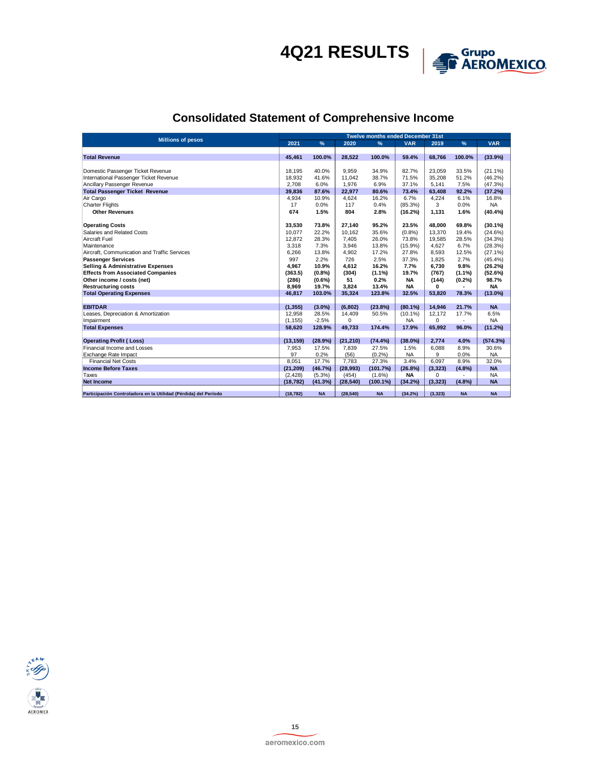

## **Consolidated Statement of Comprehensive Income**

| <b>Millions of pesos</b>                                        |           | <b>Twelve months ended December 31st</b> |           |           |            |          |           |            |
|-----------------------------------------------------------------|-----------|------------------------------------------|-----------|-----------|------------|----------|-----------|------------|
|                                                                 | 2021      | $\%$                                     | 2020      | %         | <b>VAR</b> | 2019     | %         | <b>VAR</b> |
|                                                                 |           |                                          |           |           |            |          |           |            |
| <b>Total Revenue</b>                                            | 45.461    | 100.0%                                   | 28.522    | 100.0%    | 59.4%      | 68,766   | 100.0%    | (33.9%)    |
|                                                                 |           |                                          |           |           |            |          |           |            |
| Domestic Passenger Ticket Revenue                               | 18.195    | 40.0%                                    | 9.959     | 34.9%     | 82.7%      | 23,059   | 33.5%     | $(21.1\%)$ |
| International Passenger Ticket Revenue                          | 18,932    | 41.6%                                    | 11.042    | 38.7%     | 71.5%      | 35,208   | 51.2%     | (46.2%)    |
| Ancillary Passenger Revenue                                     | 2,708     | 6.0%                                     | 1,976     | 6.9%      | 37.1%      | 5,141    | 7.5%      | (47.3%)    |
| <b>Total Passenger Ticket Revenue</b>                           | 39,836    | 87.6%                                    | 22,977    | 80.6%     | 73.4%      | 63,408   | 92.2%     | (37.2%)    |
| Air Cargo                                                       | 4.934     | 10.9%                                    | 4.624     | 16.2%     | 6.7%       | 4,224    | 6.1%      | 16.8%      |
| <b>Charter Flights</b>                                          | 17        | 0.0%                                     | 117       | 0.4%      | (85.3%)    | 3        | 0.0%      | <b>NA</b>  |
| <b>Other Revenues</b>                                           | 674       | 1.5%                                     | 804       | 2.8%      | (16.2%)    | 1.131    | 1.6%      | (40.4%     |
|                                                                 |           | 73.8%                                    |           |           |            |          |           |            |
| <b>Operating Costs</b><br>Salaries and Related Costs            | 33,530    |                                          | 27,140    | 95.2%     | 23.5%      | 48,000   | 69.8%     | $(30.1\%)$ |
|                                                                 | 10,077    | 22.2%                                    | 10.162    | 35.6%     | (0.8%      | 13,370   | 19.4%     | (24.6%)    |
| Aircraft Fuel                                                   | 12,872    | 28.3%                                    | 7.405     | 26.0%     | 73.8%      | 19,585   | 28.5%     | (34.3%)    |
| Maintenance                                                     | 3,318     | 7.3%                                     | 3.946     | 13.8%     | $(15.9\%)$ | 4.627    | 6.7%      | (28.3%)    |
| Aircraft. Communication and Traffic Services                    | 6,266     | 13.8%                                    | 4.902     | 17.2%     | 27.8%      | 8.593    | 12.5%     | (27.1%)    |
| <b>Passenger Services</b>                                       | 997       | 2.2%                                     | 726       | 2.5%      | 37.3%      | 1.825    | 2.7%      | (45.4%)    |
| <b>Selling &amp; Administrative Expenses</b>                    | 4.967     | 10.9%                                    | 4.612     | 16.2%     | 7.7%       | 6.730    | 9.8%      | (26.2%)    |
| <b>Effects from Associated Companies</b>                        | (363.5)   | (0.8%                                    | (304)     | $(1.1\%)$ | 19.7%      | (767)    | $(1.1\%)$ | (52.6%)    |
| Other income / costs (net)                                      | (286)     | $(0.6\%)$                                | 51        | 0.2%      | <b>NA</b>  | (144)    | $(0.2\%)$ | 98.7%      |
| <b>Restructuring costs</b>                                      | 8.969     | 19.7%                                    | 3.824     | 13.4%     | <b>NA</b>  | 0        |           | <b>NA</b>  |
| <b>Total Operating Expenses</b>                                 | 46,817    | 103.0%                                   | 35,324    | 123.8%    | 32.5%      | 53,820   | 78.3%     | $(13.0\%)$ |
| <b>EBITDAR</b>                                                  | (1, 355)  | $(3.0\%)$                                | (6, 802)  | (23.8%)   | $(80.1\%)$ | 14,946   | 21.7%     | <b>NA</b>  |
| Leases, Depreciation & Amortization                             | 12.958    | 28.5%                                    | 14.409    | 50.5%     | $(10.1\%)$ | 12,172   | 17.7%     | 6.5%       |
| Impairment                                                      | (1, 155)  | $-2.5%$                                  | $\Omega$  |           | <b>NA</b>  | $\Omega$ |           | <b>NA</b>  |
| <b>Total Expenses</b>                                           | 58,620    | 128.9%                                   | 49,733    | 174.4%    | 17.9%      | 65,992   | 96.0%     | (11.2%)    |
|                                                                 |           |                                          |           |           |            |          |           |            |
| <b>Operating Profit (Loss)</b>                                  | (13, 159) | (28.9%)                                  | (21, 210) | (74.4%    | $(38.0\%)$ | 2.774    | 4.0%      | (574.3%)   |
| Financial Income and Losses                                     | 7,953     | 17.5%                                    | 7,839     | 27.5%     | 1.5%       | 6,088    | 8.9%      | 30.6%      |
| Exchange Rate Impact                                            | 97        | 0.2%                                     | (56)      | (0.2%)    | <b>NA</b>  | 9        | 0.0%      | <b>NA</b>  |
| <b>Financial Net Costs</b>                                      | 8.051     | 17.7%                                    | 7.783     | 27.3%     | 3.4%       | 6,097    | 8.9%      | 32.0%      |
| <b>Income Before Taxes</b>                                      | (21, 209) | (46.7%)                                  | (28,993)  | (101.7%)  | (26.8%)    | (3, 323) | (4.8%)    | <b>NA</b>  |
| Taxes                                                           | (2, 428)  | $(5.3\%)$                                | (454)     | $(1.6\%)$ | <b>NA</b>  | 0        |           | <b>NA</b>  |
| <b>Net Income</b>                                               | (18, 782) | (41.3%)                                  | (28, 540) | (100.1%)  | (34.2%)    | (3, 323) | (4.8%)    | <b>NA</b>  |
| Participación Controladora en la Utilidad (Pérdida) del Período | (18, 782) | <b>NA</b>                                | (28, 540) | <b>NA</b> | (34.2%)    | (3, 323) | <b>NA</b> | <b>NA</b>  |
|                                                                 |           |                                          |           |           |            |          |           |            |